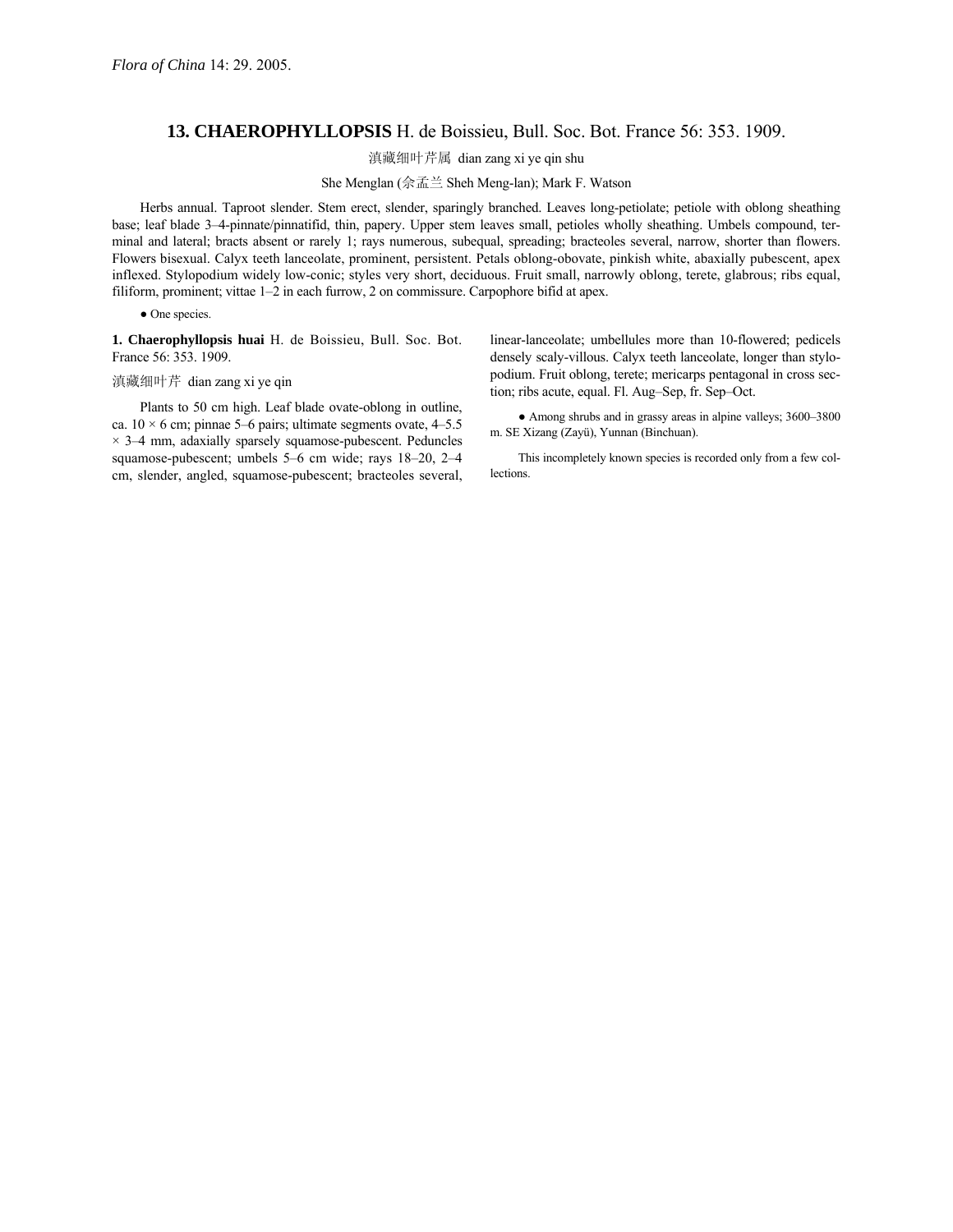## **13. CHAEROPHYLLOPSIS** H. de Boissieu, Bull. Soc. Bot. France 56: 353. 1909.

滇藏细叶芹属 dian zang xi ye qin shu

She Menglan (佘孟兰 Sheh Meng-lan); Mark F. Watson

Herbs annual. Taproot slender. Stem erect, slender, sparingly branched. Leaves long-petiolate; petiole with oblong sheathing base; leaf blade 3-4-pinnate/pinnatifid, thin, papery. Upper stem leaves small, petioles wholly sheathing. Umbels compound, terminal and lateral; bracts absent or rarely 1; rays numerous, subequal, spreading; bracteoles several, narrow, shorter than flowers. Flowers bisexual. Calyx teeth lanceolate, prominent, persistent. Petals oblong-obovate, pinkish white, abaxially pubescent, apex inflexed. Stylopodium widely low-conic; styles very short, deciduous. Fruit small, narrowly oblong, terete, glabrous; ribs equal, filiform, prominent; vittae  $1-2$  in each furrow, 2 on commissure. Carpophore bifid at apex.

• One species.

**1. Chaerophyllopsis huai** H. de Boissieu, Bull. Soc. Bot. France 56: 353. 1909.

## 滇藏细叶芹 dian zang xi ye qin

Plants to 50 cm high. Leaf blade ovate-oblong in outline, ca.  $10 \times 6$  cm; pinnae 5–6 pairs; ultimate segments ovate, 4–5.5  $\times$  3–4 mm, adaxially sparsely squamose-pubescent. Peduncles squamose-pubescent; umbels 5-6 cm wide; rays 18-20, 2-4 cm, slender, angled, squamose-pubescent; bracteoles several,

linear-lanceolate; umbellules more than 10-flowered; pedicels densely scaly-villous. Calyx teeth lanceolate, longer than stylopodium. Fruit oblong, terete; mericarps pentagonal in cross section; ribs acute, equal. Fl. Aug-Sep, fr. Sep-Oct.

• Among shrubs and in grassy areas in alpine valleys; 3600-3800 m. SE Xizang (Zayü), Yunnan (Binchuan).

This incompletely known species is recorded only from a few collections.